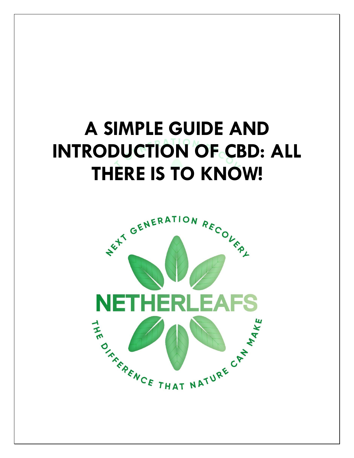# **A SIMPLE GUIDE AND INTRODUCTION OF CBD: ALL THERE IS TO KNOW!**

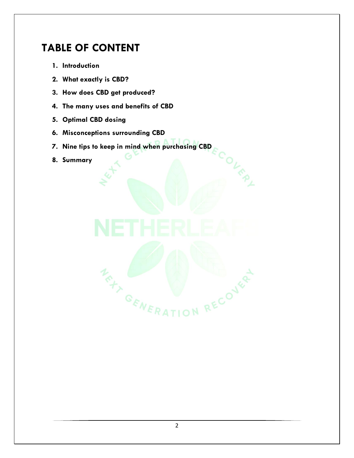## **TABLE OF CONTENT**

- **1. Introduction**
- **2. What exactly is CBD?**
- **3. How does CBD get produced?**
- **4. The many uses and benefits of CBD**
- **5. Optimal CBD dosing**
- **6. Misconceptions surrounding CBD**
- **7. Nine tips to keep in mind when purchasing CBD**

COLER L

**8. Summary**

MENTION RECOVER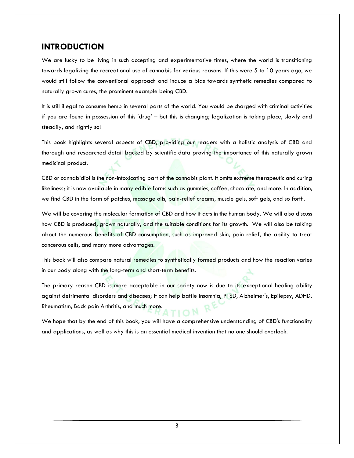#### **INTRODUCTION**

We are lucky to be living in such accepting and experimentative times, where the world is transitioning towards legalizing the recreational use of cannabis for various reasons. If this were 5 to 10 years ago, we would still follow the conventional approach and induce a bias towards synthetic remedies compared to naturally grown cures, the prominent example being CBD.

It is still illegal to consume hemp in several parts of the world. You would be charged with criminal activities if you are found in possession of this 'drug' – but this is changing; legalization is taking place, slowly and steadily, and rightly so!

This book highlights several aspects of CBD, providing our readers with a holistic analysis of CBD and thorough and researched detail backed by scientific data proving the importance of this naturally grown medicinal product.

CBD or cannabidiol is the non-intoxicating part of the cannabis plant. It omits extreme therapeutic and curing likeliness; it is now available in many edible forms such as gummies, coffee, chocolate, and more. In addition, we find CBD in the form of patches, massage oils, pain-relief creams, muscle gels, soft gels, and so forth.

We will be covering the molecular formation of CBD and how it acts in the human body. We will also discuss how CBD is produced, grown naturally, and the suitable conditions for its growth. We will also be talking about the numerous benefits of CBD consumption, such as improved skin, pain relief, the ability to treat cancerous cells, and many more advantages.

This book will also compare natural remedies to synthetically formed products and how the reaction varies in our body along with the long-term and short-term benefits.

The primary reason CBD is more acceptable in our society now is due to its exceptional healing ability against detrimental disorders and diseases; it can help battle Insomnia, PTSD, Alzheimer's, Epilepsy, ADHD, Rheumatism, Back pain Arthritis, and much more.

We hope that by the end of this book, you will have a comprehensive understanding of CBD's functionality and applications, as well as why this is an essential medical invention that no one should overlook.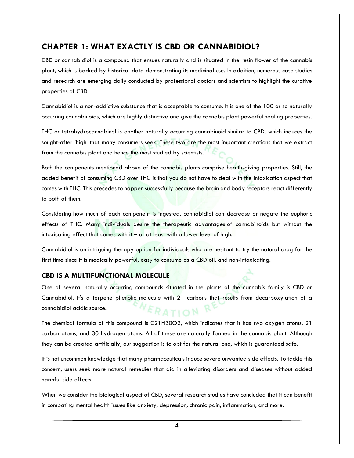#### **CHAPTER 1: WHAT EXACTLY IS CBD OR CANNABIDIOL?**

CBD or cannabidiol is a compound that ensues naturally and is situated in the resin flower of the cannabis plant, which is backed by historical data demonstrating its medicinal use. In addition, numerous case studies and research are emerging daily conducted by professional doctors and scientists to highlight the curative properties of CBD.

Cannabidiol is a non-addictive substance that is acceptable to consume. It is one of the 100 or so naturally occurring cannabinoids, which are highly distinctive and give the cannabis plant powerful healing properties.

THC or tetrahydrocannabinol is another naturally occurring cannabinoid similar to CBD, which induces the sought-after 'high' that many consumers seek. These two are the most important creations that we extract from the cannabis plant and hence the most studied by scientists.

Both the components mentioned above of the cannabis plants comprise health-giving properties. Still, the added benefit of consuming CBD over THC is that you do not have to deal with the intoxication aspect that comes with THC. This precedes to happen successfully because the brain and body receptors react differently to both of them.

Considering how much of each component is ingested, cannabidiol can decrease or negate the euphoric effects of THC. Many individuals desire the therapeutic advantages of cannabinoids but without the intoxicating effect that comes with it – or at least with a lower level of high.

Cannabidiol is an intriguing therapy option for individuals who are hesitant to try the natural drug for the first time since it is medically powerful, easy to consume as a CBD oil, and non-intoxicating.

#### **CBD IS A MULTIFUNCTIONAL MOLECULE**

One of several naturally occurring compounds situated in the plants of the cannabis family is CBD or Cannabidiol. It's a terpene phenolic molecule with 21 carbons that results from decarboxylation of a cannabidiol acidic source.  $RATION$ 

The chemical formula of this compound is C21H30O2, which indicates that it has two oxygen atoms, 21 carbon atoms, and 30 hydrogen atoms. All of these are naturally formed in the cannabis plant. Although they can be created artificially, our suggestion is to opt for the natural one, which is guaranteed safe.

It is not uncommon knowledge that many pharmaceuticals induce severe unwanted side effects. To tackle this concern, users seek more natural remedies that aid in alleviating disorders and diseases without added harmful side effects.

When we consider the biological aspect of CBD, several research studies have concluded that it can benefit in combating mental health issues like anxiety, depression, chronic pain, inflammation, and more.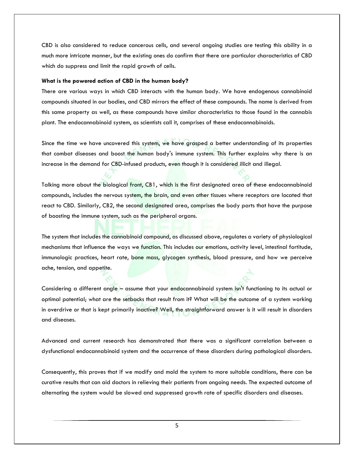CBD is also considered to reduce cancerous cells, and several ongoing studies are testing this ability in a much more intricate manner, but the existing ones do confirm that there are particular characteristics of CBD which do suppress and limit the rapid growth of cells.

#### **What is the powered action of CBD in the human body?**

There are various ways in which CBD interacts with the human body. We have endogenous cannabinoid compounds situated in our bodies, and CBD mirrors the effect of these compounds. The name is derived from this same property as well, as these compounds have similar characteristics to those found in the cannabis plant. The endocannabinoid system, as scientists call it, comprises of these endocannabinoids.

Since the time we have uncovered this system, we have grasped a better understanding of its properties that combat diseases and boost the human body's immune system. This further explains why there is an increase in the demand for CBD-infused products, even though it is considered illicit and illegal.

Talking more about the biological front, CB1, which is the first designated area of these endocannabinoid compounds, includes the nervous system, the brain, and even other tissues where receptors are located that react to CBD. Similarly, CB2, the second designated area, comprises the body parts that have the purpose of boosting the immune system, such as the peripheral organs.

The system that includes the cannabinoid compound, as discussed above, regulates a variety of physiological mechanisms that influence the ways we function. This includes our emotions, activity level, intestinal fortitude, immunologic practices, heart rate, bone mass, glycogen synthesis, blood pressure, and how we perceive ache, tension, and appetite.

Considering a different angle – assume that your endocannabinoid system isn't functioning to its actual or optimal potential; what are the setbacks that result from it? What will be the outcome of a system working in overdrive or that is kept primarily inactive? Well, the straightforward answer is it will result in disorders and diseases.

Advanced and current research has demonstrated that there was a significant correlation between a dysfunctional endocannabinoid system and the occurrence of these disorders during pathological disorders.

Consequently, this proves that if we modify and mold the system to more suitable conditions, there can be curative results that can aid doctors in relieving their patients from ongoing needs. The expected outcome of alternating the system would be slowed and suppressed growth rate of specific disorders and diseases.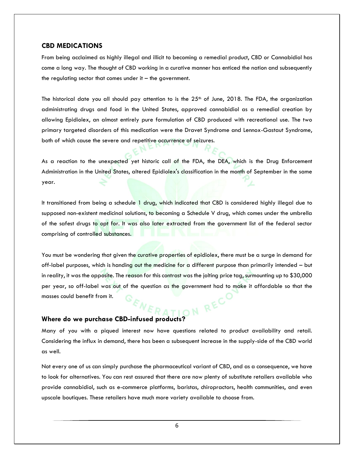#### **CBD MEDICATIONS**

From being acclaimed as highly illegal and illicit to becoming a remedial product, CBD or Cannabidiol has come a long way. The thought of CBD working in a curative manner has enticed the nation and subsequently the regulating sector that comes under it  $-$  the government.

The historical date you all should pay attention to is the  $25<sup>th</sup>$  of June, 2018. The FDA, the organization administrating drugs and food in the United States, approved cannabidiol as a remedial creation by allowing Epidiolex, an almost entirely pure formulation of CBD produced with recreational use. The two primary targeted disorders of this medication were the Dravet Syndrome and Lennox-Gastaut Syndrome, both of which cause the severe and repetitive occurrence of seizures.

As a reaction to the unexpected yet historic call of the FDA, the DEA, which is the Drug Enforcement Administration in the United States, altered Epidiolex's classification in the month of September in the same year.

It transitioned from being a schedule 1 drug, which indicated that CBD is considered highly illegal due to supposed non-existent medicinal solutions, to becoming a Schedule V drug, which comes under the umbrella of the safest drugs to opt for. It was also later extracted from the government list of the federal sector comprising of controlled substances.

You must be wondering that given the curative properties of epidiolex, there must be a surge in demand for off-label purposes, which is handing out the medicine for a different purpose than primarily intended – but in reality, it was the opposite. The reason for this contrast was the jolting price tag, surmounting up to \$30,000 per year, so off-label was out of the question as the government had to make it affordable so that the masses could benefit from it. Where do we purchase CBD-infused products? WERATION RECTARE COMMENT OF RECTARE **WERATION** 

Many of you with a piqued interest now have questions related to product availability and retail. Considering the influx in demand, there has been a subsequent increase in the supply-side of the CBD world as well.

Not every one of us can simply purchase the pharmaceutical variant of CBD, and as a consequence, we have to look for alternatives. You can rest assured that there are now plenty of substitute retailers available who provide cannabidiol, such as e-commerce platforms, baristas, chiropractors, health communities, and even upscale boutiques. These retailers have much more variety available to choose from.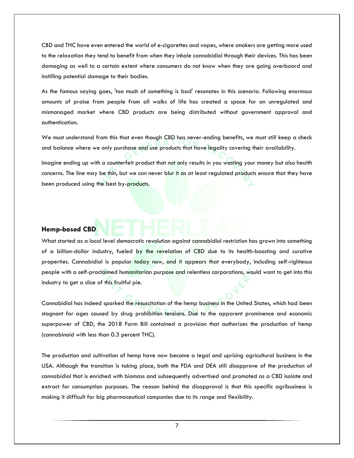CBD and THC have even entered the world of e-cigarettes and vapes, where smokers are getting more used to the relaxation they tend to benefit from when they inhale cannabidiol through their devices. This has been damaging as well to a certain extent where consumers do not know when they are going overboard and instilling potential damage to their bodies.

As the famous saying goes, 'too much of something is bad' resonates in this scenario. Following enormous amounts of praise from people from all walks of life has created a space for an unregulated and mismanaged market where CBD products are being distributed without government approval and authentication.

We must understand from this that even though CBD has never-ending benefits, we must still keep a check and balance where we only purchase and use products that have legality covering their availability.

Imagine ending up with a counterfeit product that not only results in you wasting your money but also health concerns. The line may be thin, but we can never blur it as at least regulated products ensure that they have been produced using the best by-products.

#### **Hemp-based CBD**

What started as a local level democratic revolution against cannabidiol restriction has grown into something of a billion-dollar industry, fueled by the revelation of CBD due to its health-boosting and curative properties. Cannabidiol is popular today now, and it appears that everybody, including self-righteous people with a self-proclaimed humanitarian purpose and relentless corporations, would want to get into this industry to get a slice of this fruitful pie.

Cannabidiol has indeed sparked the resuscitation of the hemp business in the United States, which had been stagnant for ages caused by drug prohibition tensions. Due to the apparent prominence and economic superpower of CBD, the 2018 Farm Bill contained a provision that authorizes the production of hemp (cannabinoid with less than 0.3 percent THC).

The production and cultivation of hemp have now become a legal and uprising agricultural business in the USA. Although the transition is taking place, both the FDA and DEA still disapprove of the production of cannabidiol that is enriched with biomass and subsequently advertised and promoted as a CBD isolate and extract for consumption purposes. The reason behind the disapproval is that this specific agribusiness is making it difficult for big pharmaceutical companies due to its range and flexibility.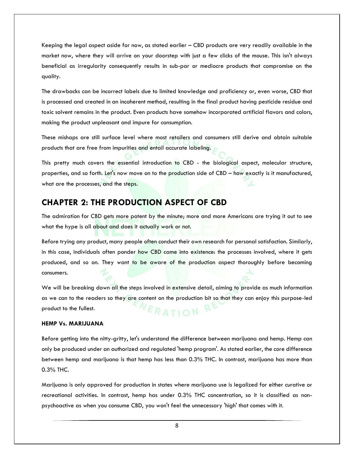Keeping the legal aspect aside for now, as stated earlier – CBD products are very readily available in the market now, where they will arrive on your doorstep with just a few clicks of the mouse. This isn't always beneficial as irregularity consequently results in sub-par or mediocre products that compromise on the quality.

The drawbacks can be incorrect labels due to limited knowledge and proficiency or, even worse, CBD that is processed and created in an incoherent method, resulting in the final product having pesticide residue and toxic solvent remains in the product. Even products have somehow incorporated artificial flavors and colors, making the product unpleasant and impure for consumption.

These mishaps are still surface level where most retailers and consumers still derive and obtain suitable products that are free from impurities and entail accurate labeling.

This pretty much covers the essential introduction to CBD - the biological aspect, molecular structure, properties, and so forth. Let's now move on to the production side of CBD - how exactly is it manufactured, what are the processes, and the steps.

### **CHAPTER 2: THE PRODUCTION ASPECT OF CBD**

The admiration for CBD gets more potent by the minute; more and more Americans are trying it out to see what the hype is all about and does it actually work or not.

Before trying any product, many people often conduct their own research for personal satisfaction. Similarly, in this case, individuals often ponder how CBD came into existence: the processes involved, where it gets produced, and so on. They want to be aware of the production aspect thoroughly before becoming consumers.

We will be breaking down all the steps involved in extensive detail, aiming to provide as much information as we can to the readers so they are content on the production bit so that they can enjoy this purpose-led product to the fullest.  $ERATION$ 

#### **HEMP Vs. MARIJUANA**

Before getting into the nitty-gritty, let's understand the difference between marijuana and hemp. Hemp can only be produced under an authorized and regulated 'hemp program'. As stated earlier, the core difference between hemp and marijuana is that hemp has less than 0.3% THC. In contrast, marijuana has more than 0.3% THC.

Marijuana is only approved for production in states where marijuana use is legalized for either curative or recreational activities. In contrast, hemp has under 0.3% THC concentration, so it is classified as nonpsychoactive as when you consume CBD, you won't feel the unnecessary 'high' that comes with it.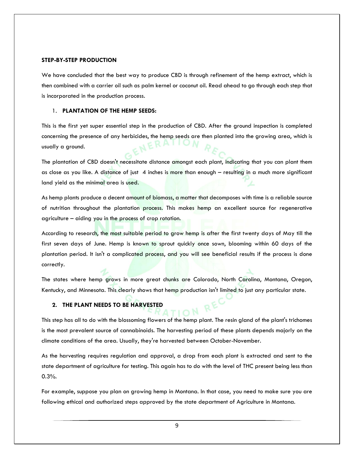#### **STEP-BY-STEP PRODUCTION**

We have concluded that the best way to produce CBD is through refinement of the hemp extract, which is then combined with a carrier oil such as palm kernel or coconut oil. Read ahead to go through each step that is incorporated in the production process.

#### 1. **PLANTATION OF THE HEMP SEEDS:**

This is the first yet super essential step in the production of CBD. After the ground inspection is completed concerning the presence of any herbicides, the hemp seeds are then planted into the growing area, which is usually a ground.

The plantation of CBD doesn't necessitate distance amongst each plant, indicating that you can plant them as close as you like. A distance of just 4 inches is more than enough – resulting in a much more significant land yield as the minimal area is used.

As hemp plants produce a decent amount of biomass, a matter that decomposes with time is a reliable source of nutrition throughout the plantation process. This makes hemp an excellent source for regenerative agriculture – aiding you in the process of crop rotation.

According to research, the most suitable period to grow hemp is after the first twenty days of May till the first seven days of June. Hemp is known to sprout quickly once sown, blooming within 60 days of the plantation period. It isn't a complicated process, and you will see beneficial results if the process is done correctly.

The states where hemp grows in more great chunks are Colorado, North Carolina, Montana, Oregon, Kentucky, and Minnesota. This clearly shows that hemp production isn't limited to just any particular state.

#### **2. THE PLANT NEEDS TO BE HARVESTED**

This step has all to do with the blossoming flowers of the hemp plant. The resin gland of the plant's trichomes is the most prevalent source of cannabinoids. The harvesting period of these plants depends majorly on the climate conditions of the area. Usually, they're harvested between October-November.

As the harvesting requires regulation and approval, a drop from each plant is extracted and sent to the state department of agriculture for testing. This again has to do with the level of THC present being less than 0.3%.

For example, suppose you plan on growing hemp in Montana. In that case, you need to make sure you are following ethical and authorized steps approved by the state department of Agriculture in Montana.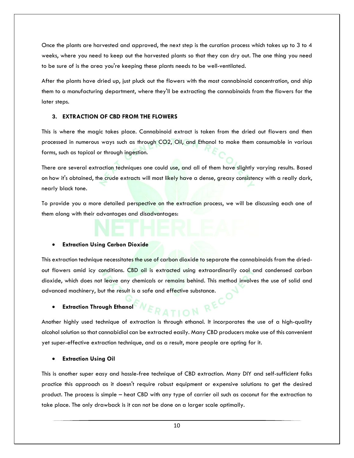Once the plants are harvested and approved, the next step is the curation process which takes up to 3 to 4 weeks, where you need to keep out the harvested plants so that they can dry out. The one thing you need to be sure of is the area you're keeping these plants needs to be well-ventilated.

After the plants have dried up, just pluck out the flowers with the most cannabinoid concentration, and ship them to a manufacturing department, where they'll be extracting the cannabinoids from the flowers for the later steps.

#### **3. EXTRACTION OF CBD FROM THE FLOWERS**

This is where the magic takes place. Cannabinoid extract is taken from the dried out flowers and then processed in numerous ways such as through CO2, Oil, and Ethanol to make them consumable in various forms, such as topical or through ingestion.

There are several extraction techniques one could use, and all of them have slightly varying results. Based on how it's obtained, the crude extracts will most likely have a dense, greasy consistency with a really dark, nearly black tone.

To provide you a more detailed perspective on the extraction process, we will be discussing each one of them along with their advantages and disadvantages:

#### **Extraction Using Carbon Dioxide**

This extraction technique necessitates the use of carbon dioxide to separate the cannabinoids from the driedout flowers amid icy conditions. CBD oil is extracted using extraordinarily cool and condensed carbon dioxide, which does not leave any chemicals or remains behind. This method involves the use of solid and advanced machinery, but the result is a safe and effective substance.

#### **Extraction Through Ethanol**

Another highly used technique of extraction is through ethanol. It incorporates the use of a high-quality alcohol solution so that cannabidiol can be extracted easily. Many CBD producers make use of this convenient yet super-effective extraction technique, and as a result, more people are opting for it.

**ATION** 

#### **Extraction Using Oil**

This is another super easy and hassle-free technique of CBD extraction. Many DIY and self-sufficient folks practice this approach as it doesn't require robust equipment or expensive solutions to get the desired product. The process is simple – heat CBD with any type of carrier oil such as coconut for the extraction to take place. The only drawback is it can not be done on a larger scale optimally.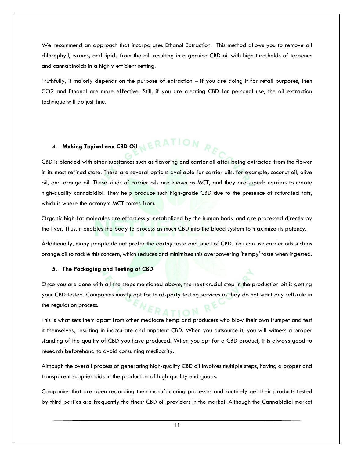We recommend an approach that incorporates Ethanol Extraction. This method allows you to remove all chlorophyll, waxes, and lipids from the oil, resulting in a genuine CBD oil with high thresholds of terpenes and cannabinoids in a highly efficient setting.

Truthfully, it majorly depends on the purpose of extraction – if you are doing it for retail purposes, then CO2 and Ethanol are more effective. Still, if you are creating CBD for personal use, the oil extraction technique will do just fine.

# 4. Making Topical and CBD Oil **NERATION**

CBD is blended with other substances such as flavoring and carrier oil after being extracted from the flower in its most refined state. There are several options available for carrier oils, for example, coconut oil, olive oil, and orange oil. These kinds of carrier oils are known as MCT, and they are superb carriers to create high-quality cannabidiol. They help produce such high-grade CBD due to the presence of saturated fats, which is where the acronym MCT comes from.

Organic high-fat molecules are effortlessly metabolized by the human body and are processed directly by the liver. Thus, it enables the body to process as much CBD into the blood system to maximize its potency.

Additionally, many people do not prefer the earthy taste and smell of CBD. You can use carrier oils such as orange oil to tackle this concern, which reduces and minimizes this overpowering 'hempy' taste when ingested.

#### **5. The Packaging and Testing of CBD**

Once you are done with all the steps mentioned above, the next crucial step in the production bit is getting your CBD tested. Companies mostly opt for third-party testing services as they do not want any self-rule in the regulation process.

RATION

This is what sets them apart from other mediocre hemp and producers who blow their own trumpet and test it themselves, resulting in inaccurate and impotent CBD. When you outsource it, you will witness a proper standing of the quality of CBD you have produced. When you opt for a CBD product, it is always good to research beforehand to avoid consuming mediocrity.

Although the overall process of generating high-quality CBD oil involves multiple steps, having a proper and transparent supplier aids in the production of high-quality end goods.

Companies that are open regarding their manufacturing processes and routinely get their products tested by third parties are frequently the finest CBD oil providers in the market. Although the Cannabidiol market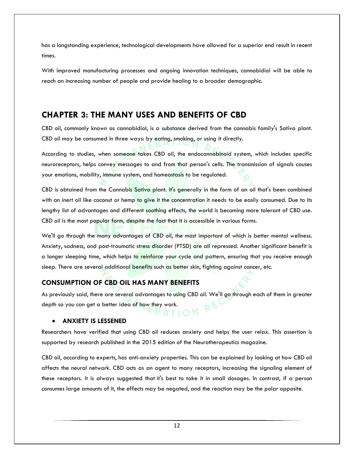has a longstanding experience, technological developments have allowed for a superior end result in recent times.

With improved manufacturing processes and ongoing innovation techniques, cannabidiol will be able to reach an increasing number of people and provide healing to a broader demographic.

## **CHAPTER 3: THE MANY USES AND BENEFITS OF CBD**

CBD oil, commonly known as cannabidiol, is a substance derived from the cannabis family's Sativa plant. CBD oil may be consumed in three ways: by eating, smoking, or using it directly.

According to studies, when someone takes CBD oil, the endocannabinoid system, which includes specific neuroreceptors, helps convey messages to and from that person's cells. The transmission of signals causes your emotions, mobility, immune system, and homeostasis to be regulated.

CBD is obtained from the Cannabis Sativa plant. It's generally in the form of an oil that's been combined with an inert oil like coconut or hemp to give it the concentration it needs to be easily consumed. Due to its lengthy list of advantages and different soothing effects, the world is becoming more tolerant of CBD use. CBD oil is the most popular form, despite the fact that it is accessible in various forms.

We'll go through the many advantages of CBD oil, the most important of which is better mental wellness. Anxiety, sadness, and post-traumatic stress disorder (PTSD) are all repressed. Another significant benefit is a longer sleeping time, which helps to reinforce your cycle and pattern, ensuring that you receive enough sleep. There are several additional benefits such as better skin, fighting against cancer, etc.

#### **CONSUMPTION OF CBD OIL HAS MANY BENEFITS**

As previously said, there are several advantages to using CBD oil. We'll go through each of them in greater depth so you can get a better idea of how they work.

#### **ANXIETY IS LESSENED**

Researchers have verified that using CBD oil reduces anxiety and helps the user relax. This assertion is supported by research published in the 2015 edition of the Neurotherapeutics magazine.

CBD oil, according to experts, has anti-anxiety properties. This can be explained by looking at how CBD oil affects the neural network. CBD acts as an agent to many receptors, increasing the signaling element of these receptors. It is always suggested that it's best to take it in small dosages. In contrast, if a person consumes large amounts of it, the effects may be negated, and the reaction may be the polar opposite.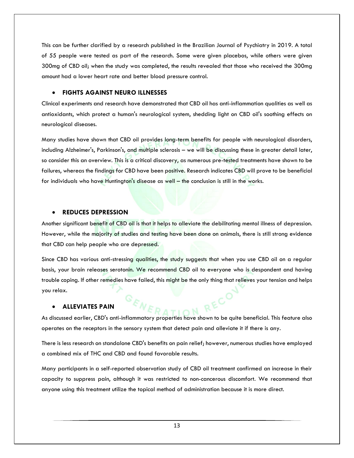This can be further clarified by a research published in the Brazilian Journal of Psychiatry in 2019. A total of 55 people were tested as part of the research. Some were given placebos, while others were given 300mg of CBD oil; when the study was completed, the results revealed that those who received the 300mg amount had a lower heart rate and better blood pressure control.

#### **FIGHTS AGAINST NEURO ILLNESSES**

Clinical experiments and research have demonstrated that CBD oil has anti-inflammation qualities as well as antioxidants, which protect a human's neurological system, shedding light on CBD oil's soothing effects on neurological diseases.

Many studies have shown that CBD oil provides long-term benefits for people with neurological disorders, including Alzheimer's, Parkinson's, and multiple sclerosis – we will be discussing these in greater detail later, so consider this an overview. This is a critical discovery, as numerous pre-tested treatments have shown to be failures, whereas the findings for CBD have been positive. Research indicates CBD will prove to be beneficial for individuals who have Huntington's disease as well – the conclusion is still in the works.

#### **REDUCES DEPRESSION**

Another significant benefit of CBD oil is that it helps to alleviate the debilitating mental illness of depression. However, while the majority of studies and testing have been done on animals, there is still strong evidence that CBD can help people who are depressed.

Since CBD has various anti-stressing qualities, the study suggests that when you use CBD oil on a regular basis, your brain releases serotonin. We recommend CBD oil to everyone who is despondent and having trouble coping. If other remedies have failed, this might be the only thing that relieves your tension and helps you relax.

#### **ALLEVIATES PAIN**

As discussed earlier, CBD's anti-inflammatory properties have shown to be quite beneficial. This feature also operates on the receptors in the sensory system that detect pain and alleviate it if there is any.

There is less research on standalone CBD's benefits on pain relief; however, numerous studies have employed a combined mix of THC and CBD and found favorable results.

Many participants in a self-reported observation study of CBD oil treatment confirmed an increase in their capacity to suppress pain, although it was restricted to non-cancerous discomfort. We recommend that anyone using this treatment utilize the topical method of administration because it is more direct.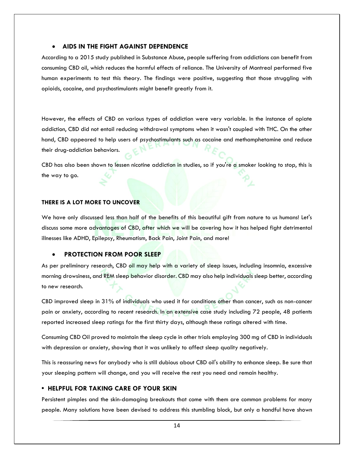#### **AIDS IN THE FIGHT AGAINST DEPENDENCE**

According to a 2015 study published in Substance Abuse, people suffering from addictions can benefit from consuming CBD oil, which reduces the harmful effects of reliance. The University of Montreal performed five human experiments to test this theory. The findings were positive, suggesting that those struggling with opioids, cocaine, and psychostimulants might benefit greatly from it.

However, the effects of CBD on various types of addiction were very variable. In the instance of opiate addiction, CBD did not entail reducing withdrawal symptoms when it wasn't coupled with THC. On the other hand, CBD appeared to help users of psychostimulants such as cocaine and methamphetamine and reduce their drug-addiction behaviors.

CBD has also been shown to lessen nicotine addiction in studies, so if you're a smoker looking to stop, this is the way to go.

#### **THERE IS A LOT MORE TO UNCOVER**

We have only discussed less than half of the benefits of this beautiful gift from nature to us humans! Let's discuss some more advantages of CBD, after which we will be covering how it has helped fight detrimental illnesses like ADHD, Epilepsy, Rheumatism, Back Pain, Joint Pain, and more!

#### **PROTECTION FROM POOR SLEEP**

As per preliminary research, CBD oil may help with a variety of sleep issues, including insomnia, excessive morning drowsiness, and REM sleep behavior disorder. CBD may also help individuals sleep better, according to new research.

CBD improved sleep in 31% of individuals who used it for conditions other than cancer, such as non-cancer pain or anxiety, according to recent research. In an extensive case study including 72 people, 48 patients reported increased sleep ratings for the first thirty days, although these ratings altered with time.

Consuming CBD Oil proved to maintain the sleep cycle in other trials employing 300 mg of CBD in individuals with depression or anxiety, showing that it was unlikely to affect sleep quality negatively.

This is reassuring news for anybody who is still dubious about CBD oil's ability to enhance sleep. Be sure that your sleeping pattern will change, and you will receive the rest you need and remain healthy.

#### **• HELPFUL FOR TAKING CARE OF YOUR SKIN**

Persistent pimples and the skin-damaging breakouts that come with them are common problems for many people. Many solutions have been devised to address this stumbling block, but only a handful have shown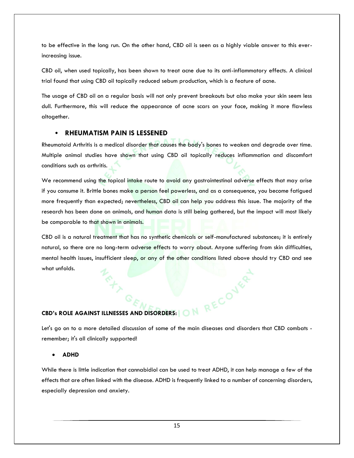to be effective in the long run. On the other hand, CBD oil is seen as a highly viable answer to this everincreasing issue.

CBD oil, when used topically, has been shown to treat acne due to its anti-inflammatory effects. A clinical trial found that using CBD oil topically reduced sebum production, which is a feature of acne.

The usage of CBD oil on a regular basis will not only prevent breakouts but also make your skin seem less dull. Furthermore, this will reduce the appearance of acne scars on your face, making it more flawless altogether.

#### • **RHEUMATISM PAIN IS LESSENED**

Rheumatoid Arthritis is a medical disorder that causes the body's bones to weaken and degrade over time. Multiple animal studies have shown that using CBD oil topically reduces inflammation and discomfort conditions such as arthritis.

We recommend using the topical intake route to avoid any gastrointestinal adverse effects that may arise if you consume it. Brittle bones make a person feel powerless, and as a consequence, you become fatigued more frequently than expected; nevertheless, CBD oil can help you address this issue. The majority of the research has been done on animals, and human data is still being gathered, but the impact will most likely be comparable to that shown in animals.

CBD oil is a natural treatment that has no synthetic chemicals or self-manufactured substances; it is entirely natural, so there are no long-term adverse effects to worry about. Anyone suffering from skin difficulties, mental health issues, insufficient sleep, or any of the other conditions listed above should try CBD and see what unfolds.

**CBD's ROLE AGAINST ILLNESSES AND DISORDERS:**<br>Let's go on to a more detailed displayed and the state of the state of the state of the state of the state of the state of the state of the state of the state of the state of t Let's go on to a more detailed discussion of some of the main diseases and disorders that CBD combats remember; it's all clinically supported!

**ADHD** 

While there is little indication that cannabidiol can be used to treat ADHD, it can help manage a few of the effects that are often linked with the disease. ADHD is frequently linked to a number of concerning disorders, especially depression and anxiety.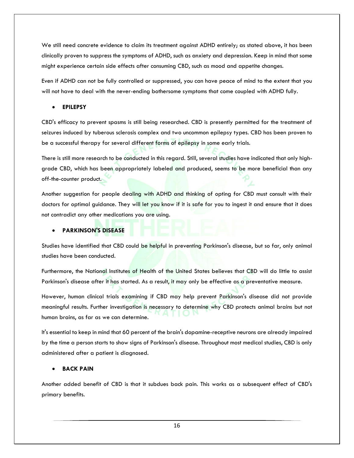We still need concrete evidence to claim its treatment against ADHD entirely; as stated above, it has been clinically proven to suppress the symptoms of ADHD, such as anxiety and depression. Keep in mind that some might experience certain side effects after consuming CBD, such as mood and appetite changes.

Even if ADHD can not be fully controlled or suppressed, you can have peace of mind to the extent that you will not have to deal with the never-ending bothersome symptoms that come coupled with ADHD fully.

#### **EPILEPSY**

CBD's efficacy to prevent spasms is still being researched. CBD is presently permitted for the treatment of seizures induced by tuberous sclerosis complex and two uncommon epilepsy types. CBD has been proven to be a successful therapy for several different forms of epilepsy in some early trials.

There is still more research to be conducted in this regard. Still, several studies have indicated that only highgrade CBD, which has been appropriately labeled and produced, seems to be more beneficial than any off-the-counter product.

Another suggestion for people dealing with ADHD and thinking of opting for CBD must consult with their doctors for optimal guidance. They will let you know if it is safe for you to ingest it and ensure that it does not contradict any other medications you are using.

#### **PARKINSON'S DISEASE**

Studies have identified that CBD could be helpful in preventing Parkinson's disease, but so far, only animal studies have been conducted.

Furthermore, the National Institutes of Health of the United States believes that CBD will do little to assist Parkinson's disease after it has started. As a result, it may only be effective as a preventative measure.

However, human clinical trials examining if CBD may help prevent Parkinson's disease did not provide meaningful results. Further investigation is necessary to determine why CBD protects animal brains but not human brains, as far as we can determine.

It's essential to keep in mind that 60 percent of the brain's dopamine-receptive neurons are already impaired by the time a person starts to show signs of Parkinson's disease. Throughout most medical studies, CBD is only administered after a patient is diagnosed.

#### **BACK PAIN**

Another added benefit of CBD is that it subdues back pain. This works as a subsequent effect of CBD's primary benefits.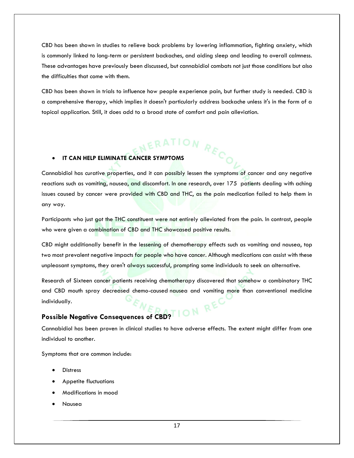CBD has been shown in studies to relieve back problems by lowering inflammation, fighting anxiety, which is commonly linked to long-term or persistent backaches, and aiding sleep and leading to overall calmness. These advantages have previously been discussed, but cannabidiol combats not just those conditions but also the difficulties that come with them.

CBD has been shown in trials to influence how people experience pain, but further study is needed. CBD is a comprehensive therapy, which implies it doesn't particularly address backache unless it's in the form of a topical application. Still, it does add to a broad state of comfort and pain alleviation.

# **IT CAN HELP ELIMINATE CANCER SYMPTOMS**

Cannabidiol has curative properties, and it can possibly lessen the symptoms of cancer and any negative reactions such as vomiting, nausea, and discomfort. In one research, over 175 patients dealing with aching issues caused by cancer were provided with CBD and THC, as the pain medication failed to help them in any way.

Participants who just got the THC constituent were not entirely alleviated from the pain. In contrast, people who were given a combination of CBD and THC showcased positive results.

CBD might additionally benefit in the lessening of chemotherapy effects such as vomiting and nausea, top two most prevalent negative impacts for people who have cancer. Although medications can assist with these unpleasant symptoms, they aren't always successful, prompting some individuals to seek an alternative.

Research of Sixteen cancer patients receiving chemotherapy discovered that somehow a combinatory THC and CBD mouth spray decreased chemo-caused nausea and vomiting more than conventional medicine individually.

#### **Possible Negative Consequences of CBD?**

Cannabidiol has been proven in clinical studies to have adverse effects. The extent might differ from one individual to another.

Symptoms that are common include:

- **Distress**
- Appetite fluctuations
- Modifications in mood
- Nausea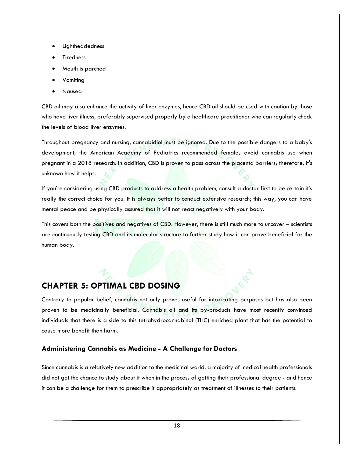- Lightheadedness
- Tiredness
- Mouth is parched
- Vomiting
- Nausea

CBD oil may also enhance the activity of liver enzymes, hence CBD oil should be used with caution by those who have liver illness, preferably supervised properly by a healthcare practitioner who can regularly check the levels of blood liver enzymes.

Throughout pregnancy and nursing, cannabidiol must be ignored. Due to the possible dangers to a baby's development, the American Academy of Pediatrics recommended females avoid cannabis use when pregnant in a 2018 research. In addition, CBD is proven to pass across the placenta barriers; therefore, it's unknown how it helps.

If you're considering using CBD products to address a health problem, consult a doctor first to be certain it's really the correct choice for you. It is always better to conduct extensive research; this way, you can have mental peace and be physically assured that it will not react negatively with your body.

This covers both the positives and negatives of CBD. However, there is still much more to uncover – scientists are continuously testing CBD and its molecular structure to further study how it can prove beneficial for the human body.

## **CHAPTER 5: OPTIMAL CBD DOSING**

Contrary to popular belief, cannabis not only proves useful for intoxicating purposes but has also been proven to be medicinally beneficial. Cannabis oil and its by-products have most recently convinced individuals that there is a side to this tetrahydrocannabinol (THC) enriched plant that has the potential to cause more benefit than harm.

#### **Administering Cannabis as Medicine - A Challenge for Doctors**

Since cannabis is a relatively new addition to the medicinal world, a majority of medical health professionals did not get the chance to study about it when in the process of getting their professional degree - and hence it can be a challenge for them to prescribe it appropriately as treatment of illnesses to their patients.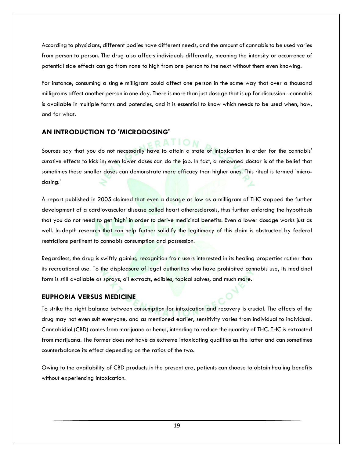According to physicians, different bodies have different needs, and the amount of cannabis to be used varies from person to person. The drug also affects individuals differently, meaning the intensity or occurrence of potential side effects can go from none to high from one person to the next without them even knowing.

For instance, consuming a single milligram could affect one person in the same way that over a thousand milligrams affect another person in one day. There is more than just dosage that is up for discussion - cannabis is available in multiple forms and potencies, and it is essential to know which needs to be used when, how, and for what.

#### **AN INTRODUCTION TO 'MICRODOSING'**

 $ERATION$ Sources say that you do not necessarily have to attain a state of intoxication in order for the cannabis' curative effects to kick in; even lower doses can do the job. In fact, a renowned doctor is of the belief that sometimes these smaller doses can demonstrate more efficacy than higher ones. This ritual is termed 'microdosing.'

A report published in 2005 claimed that even a dosage as low as a milligram of THC stopped the further development of a cardiovascular disease called heart atherosclerosis, thus further enforcing the hypothesis that you do not need to get 'high' in order to derive medicinal benefits. Even a lower dosage works just as well. In-depth research that can help further solidify the legitimacy of this claim is obstructed by federal restrictions pertinent to cannabis consumption and possession.

Regardless, the drug is swiftly gaining recognition from users interested in its healing properties rather than its recreational use. To the displeasure of legal authorities who have prohibited cannabis use, its medicinal form is still available as sprays, oil extracts, edibles, topical salves, and much more.

#### **EUPHORIA VERSUS MEDICINE**

To strike the right balance between consumption for intoxication and recovery is crucial. The effects of the drug may not even suit everyone, and as mentioned earlier, sensitivity varies from individual to individual. Cannabidiol (CBD) comes from marijuana or hemp, intending to reduce the quantity of THC. THC is extracted from marijuana. The former does not have as extreme intoxicating qualities as the latter and can sometimes counterbalance its effect depending on the ratios of the two.

Owing to the availability of CBD products in the present era, patients can choose to obtain healing benefits without experiencing intoxication.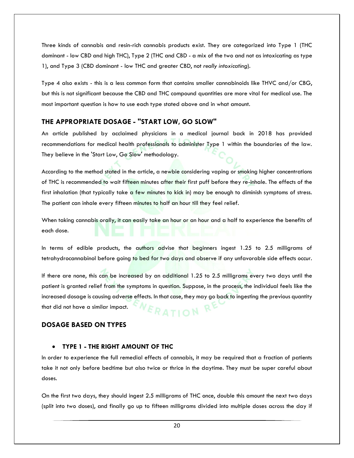Three kinds of cannabis and resin-rich cannabis products exist. They are categorized into Type 1 (THC dominant - low CBD and high THC), Type 2 (THC and CBD - a mix of the two and not as intoxicating as type 1), and Type 3 (CBD dominant - low THC and greater CBD, not *really intoxicating*).

Type 4 also exists - this is a less common form that contains smaller cannabinoids like THVC and/or CBG, but this is not significant because the CBD and THC compound quantities are more vital for medical use. The most important question is how to use each type stated above and in what amount.

#### **THE APPROPRIATE DOSAGE - "START LOW, GO SLOW"**

An article published by acclaimed physicians in a medical journal back in 2018 has provided recommendations for medical health professionals to administer Type 1 within the boundaries of the law. They believe in the 'Start Low, Go Slow' methodology.

According to the method stated in the article, a newbie considering vaping or smoking higher concentrations of THC is recommended to wait fifteen minutes after their first puff before they re-inhale. The effects of the first inhalation (that typically take a few minutes to kick in) may be enough to diminish symptoms of stress. The patient can inhale every fifteen minutes to half an hour till they feel relief.

When taking cannabis orally, it can easily take an hour or an hour and a half to experience the benefits of each dose.

In terms of edible products, the authors advise that beginners ingest 1.25 to 2.5 milligrams of tetrahydrocannabinol before going to bed for two days and observe if any unfavorable side effects occur.

If there are none, this can be increased by an additional 1.25 to 2.5 milligrams every two days until the patient is granted relief from the symptoms in question. Suppose, in the process, the individual feels like the increased dosage is causing adverse effects. In that case, they may go back to ingesting the previous quantity that did not have a similar impact. MOITAS

#### **DOSAGE BASED ON TYPES**

#### **TYPE 1 - THE RIGHT AMOUNT OF THC**

In order to experience the full remedial effects of cannabis, it may be required that a fraction of patients take it not only before bedtime but also twice or thrice in the daytime. They must be super careful about doses.

On the first two days, they should ingest 2.5 milligrams of THC once, double this amount the next two days (split into two doses), and finally go up to fifteen milligrams divided into multiple doses across the day if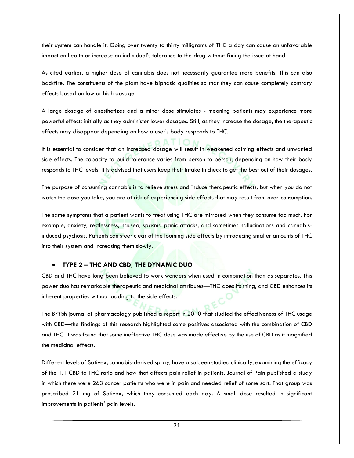their system can handle it. Going over twenty to thirty milligrams of THC a day can cause an unfavorable impact on health or increase an individual's tolerance to the drug without fixing the issue at hand.

As cited earlier, a higher dose of cannabis does not necessarily guarantee more benefits. This can also backfire. The constituents of the plant have biphasic qualities so that they can cause completely contrary effects based on low or high dosage.

A large dosage of anesthetizes and a minor dose stimulates - meaning patients may experience more powerful effects initially as they administer lower dosages. Still, as they increase the dosage, the therapeutic effects may disappear depending on how a user's body responds to THC.

It is essential to consider that an increased dosage will result in weakened calming effects and unwanted side effects. The capacity to build tolerance varies from person to person, depending on how their body responds to THC levels. It is advised that users keep their intake in check to get the best out of their dosages.

The purpose of consuming cannabis is to relieve stress and induce therapeutic effects, but when you do not watch the dose you take, you are at risk of experiencing side effects that may result from over-consumption.

The same symptoms that a patient wants to treat using THC are mirrored when they consume too much. For example, anxiety, restlessness, nausea, spasms, panic attacks, and sometimes hallucinations and cannabisinduced psychosis. Patients can steer clear of the looming side effects by introducing smaller amounts of THC into their system and increasing them slowly.

#### **TYPE 2 – THC AND CBD, THE DYNAMIC DUO**

CBD and THC have long been believed to work wonders when used in combination than as separates. This power duo has remarkable therapeutic and medicinal attributes—THC does its thing, and CBD enhances its inherent properties without adding to the side effects.

The British journal of pharmacology published a report in 2010 that studied the effectiveness of THC usage with CBD—the findings of this research highlighted some positives associated with the combination of CBD and THC. It was found that some ineffective THC dose was made effective by the use of CBD as it magnified the medicinal effects.

Different levels of Sativex, cannabis-derived spray, have also been studied clinically, examining the efficacy of the 1:1 CBD to THC ratio and how that affects pain relief in patients. Journal of Pain published a study in which there were 263 cancer patients who were in pain and needed relief of some sort. That group was prescribed 21 mg of Sativex, which they consumed each day. A small dose resulted in significant improvements in patients' pain levels.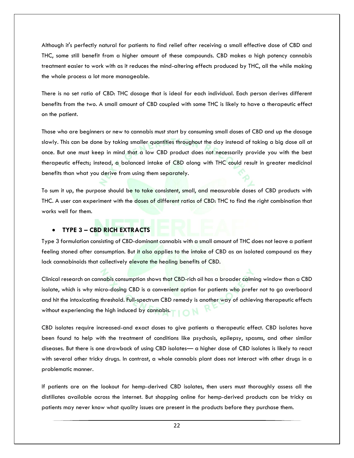Although it's perfectly natural for patients to find relief after receiving a small effective dose of CBD and THC, some still benefit from a higher amount of these compounds. CBD makes a high potency cannabis treatment easier to work with as it reduces the mind-altering effects produced by THC, all the while making the whole process a lot more manageable.

There is no set ratio of CBD: THC dosage that is ideal for each individual. Each person derives different benefits from the two. A small amount of CBD coupled with some THC is likely to have a therapeutic effect on the patient.

Those who are beginners or new to cannabis must start by consuming small doses of CBD and up the dosage slowly. This can be done by taking smaller quantities throughout the day instead of taking a big dose all at once. But one must keep in mind that a low CBD product does not necessarily provide you with the best therapeutic effects; instead, a balanced intake of CBD along with THC could result in greater medicinal benefits than what you derive from using them separately.

To sum it up, the purpose should be to take consistent, small, and measurable doses of CBD products with THC. A user can experiment with the doses of different ratios of CBD: THC to find the right combination that works well for them.

#### **TYPE 3 – CBD RICH EXTRACTS**

Type 3 formulation consisting of CBD-dominant cannabis with a small amount of THC does not leave a patient feeling stoned after consumption. But it also applies to the intake of CBD as an isolated compound as they lack cannabinoids that collectively elevate the healing benefits of CBD.

Clinical research on cannabis consumption shows that CBD-rich oil has a broader calming window than a CBD isolate, which is why micro-dosing CBD is a convenient option for patients who prefer not to go overboard and hit the intoxicating threshold. Full-spectrum CBD remedy is another way of achieving therapeutic effects without experiencing the high induced by cannabis.

CBD isolates require increased-and exact doses to give patients a therapeutic effect. CBD isolates have been found to help with the treatment of conditions like psychosis, epilepsy, spasms, and other similar diseases. But there is one drawback of using CBD isolates— a higher dose of CBD isolates is likely to react with several other tricky drugs. In contrast, a whole cannabis plant does not interact with other drugs in a problematic manner.

If patients are on the lookout for hemp-derived CBD isolates, then users must thoroughly assess all the distillates available across the internet. But shopping online for hemp-derived products can be tricky as patients may never know what quality issues are present in the products before they purchase them.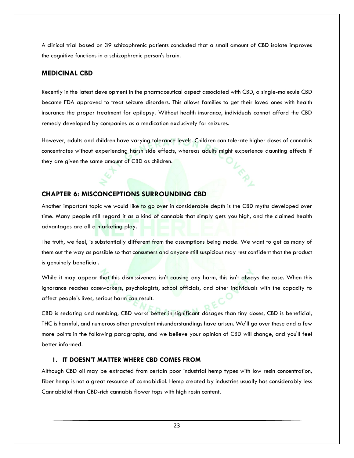A clinical trial based on 39 schizophrenic patients concluded that a small amount of CBD isolate improves the cognitive functions in a schizophrenic person's brain.

#### **MEDICINAL CBD**

Recently in the latest development in the pharmaceutical aspect associated with CBD, a single-molecule CBD became FDA approved to treat seizure disorders. This allows families to get their loved ones with health insurance the proper treatment for epilepsy. Without health insurance, individuals cannot afford the CBD remedy developed by companies as a medication exclusively for seizures.

However, adults and children have varying tolerance levels. Children can tolerate higher doses of cannabis concentrates without experiencing harsh side effects, whereas adults might experience daunting effects if they are given the same amount of CBD as children.

#### **CHAPTER 6: MISCONCEPTIONS SURROUNDING CBD**

Another important topic we would like to go over in considerable depth is the CBD myths developed over time. Many people still regard it as a kind of cannabis that simply gets you high, and the claimed health advantages are all a marketing ploy.

The truth, we feel, is substantially different from the assumptions being made. We want to get as many of them out the way as possible so that consumers and anyone still suspicious may rest confident that the product is genuinely beneficial.

While it may appear that this dismissiveness isn't causing any harm, this isn't always the case. When this ignorance reaches caseworkers, psychologists, school officials, and other individuals with the capacity to affect people's lives, serious harm can result.

CBD is sedating and numbing, CBD works better in significant dosages than tiny doses, CBD is beneficial, THC is harmful, and numerous other prevalent misunderstandings have arisen. We'll go over these and a few more points in the following paragraphs, and we believe your opinion of CBD will change, and you'll feel better informed.

#### **1. IT DOESN'T MATTER WHERE CBD COMES FROM**

Although CBD oil may be extracted from certain poor industrial hemp types with low resin concentration, fiber hemp is not a great resource of cannabidiol. Hemp created by industries usually has considerably less Cannabidiol than CBD-rich cannabis flower tops with high resin content.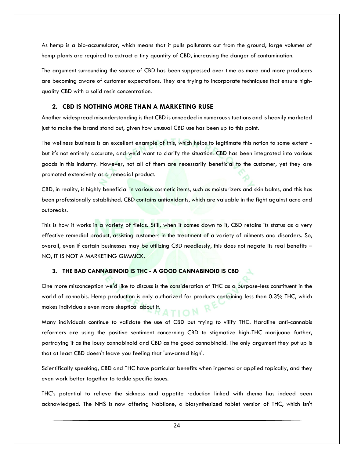As hemp is a bio-accumulator, which means that it pulls pollutants out from the ground, large volumes of hemp plants are required to extract a tiny quantity of CBD, increasing the danger of contamination.

The argument surrounding the source of CBD has been suppressed over time as more and more producers are becoming aware of customer expectations. They are trying to incorporate techniques that ensure highquality CBD with a solid resin concentration.

#### **2. CBD IS NOTHING MORE THAN A MARKETING RUSE**

Another widespread misunderstanding is that CBD is unneeded in numerous situations and is heavily marketed just to make the brand stand out, given how unusual CBD use has been up to this point.

The wellness business is an excellent example of this, which helps to legitimate this notion to some extent but it's not entirely accurate, and we'd want to clarify the situation. CBD has been integrated into various goods in this industry. However, not all of them are necessarily beneficial to the customer, yet they are promoted extensively as a remedial product.

CBD, in reality, is highly beneficial in various cosmetic items, such as moisturizers and skin balms, and this has been professionally established. CBD contains antioxidants, which are valuable in the fight against acne and outbreaks.

This is how it works in a variety of fields. Still, when it comes down to it, CBD retains its status as a very effective remedial product, assisting customers in the treatment of a variety of ailments and disorders. So, overall, even if certain businesses may be utilizing CBD needlessly, this does not negate its real benefits – NO, IT IS NOT A MARKETING GIMMICK.

#### **3. THE BAD CANNABINOID IS THC - A GOOD CANNABINOID IS CBD**

One more misconception we'd like to discuss is the consideration of THC as a purpose-less constituent in the world of cannabis. Hemp production is only authorized for products containing less than 0.3% THC, which makes individuals even more skeptical about it. TION

Many individuals continue to validate the use of CBD but trying to vilify THC. Hardline anti-cannabis reformers are using the positive sentiment concerning CBD to stigmatize high-THC marijuana further, portraying it as the lousy cannabinoid and CBD as the good cannabinoid. The only argument they put up is that at least CBD doesn't leave you feeling that 'unwanted high'.

Scientifically speaking, CBD and THC have particular benefits when ingested or applied topically, and they even work better together to tackle specific issues.

THC's potential to relieve the sickness and appetite reduction linked with chemo has indeed been acknowledged. The NHS is now offering Nabilone, a biosynthesized tablet version of THC, which isn't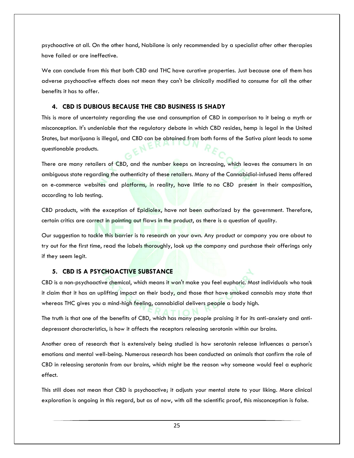psychoactive at all. On the other hand, Nabilone is only recommended by a specialist after other therapies have failed or are ineffective.

We can conclude from this that both CBD and THC have curative properties. Just because one of them has adverse psychoactive effects does not mean they can't be clinically modified to consume for all the other benefits it has to offer.

#### **4. CBD IS DUBIOUS BECAUSE THE CBD BUSINESS IS SHADY**

This is more of uncertainty regarding the use and consumption of CBD in comparison to it being a myth or misconception. It's undeniable that the regulatory debate in which CBD resides, hemp is legal in the United States, but marijuana is illegal, and CBD can be obtained from both forms of the Sativa plant leads to some questionable products.

There are many retailers of CBD, and the number keeps on increasing, which leaves the consumers in an ambiguous state regarding the authenticity of these retailers. Many of the Cannabidiol-infused items offered on e-commerce websites and platforms, in reality, have little to no CBD present in their composition, according to lab testing.

CBD products, with the exception of Epidiolex, have not been authorized by the government. Therefore, certain critics are correct in pointing out flaws in the product, as there is a question of quality.

Our suggestion to tackle this barrier is to research on your own. Any product or company you are about to try out for the first time, read the labels thoroughly, look up the company and purchase their offerings only if they seem legit.

#### **5. CBD IS A PSYCHOACTIVE SUBSTANCE**

CBD is a non-psychoactive chemical, which means it won't make you feel euphoric. Most individuals who took it claim that it has an uplifting impact on their body, and those that have smoked cannabis may state that whereas THC gives you a mind-high feeling, cannabidiol delivers people a body high.

The truth is that one of the benefits of CBD, which has many people praising it for its anti-anxiety and antidepressant characteristics, is how it affects the receptors releasing serotonin within our brains.

Another area of research that is extensively being studied is how serotonin release influences a person's emotions and mental well-being. Numerous research has been conducted on animals that confirm the role of CBD in releasing serotonin from our brains, which might be the reason why someone would feel a euphoric effect.

This still does not mean that CBD is psychoactive; it adjusts your mental state to your liking. More clinical exploration is ongoing in this regard, but as of now, with all the scientific proof, this misconception is false.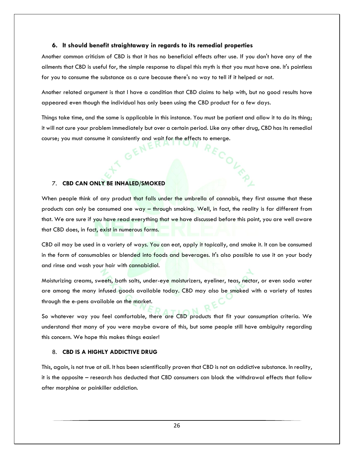#### **6. It should benefit straightaway in regards to its remedial properties**

Another common criticism of CBD is that it has no beneficial effects after use. If you don't have any of the ailments that CBD is useful for, the simple response to dispel this myth is that you must have one. It's pointless for you to consume the substance as a cure because there's no way to tell if it helped or not.

Another related argument is that I have a condition that CBD claims to help with, but no good results have appeared even though the individual has only been using the CBD product for a few days.

Things take time, and the same is applicable in this instance. You must be patient and allow it to do its thing; it will not cure your problem immediately but over a certain period. Like any other drug, CBD has its remedial course; you must consume it consistently and wait for the effects to emerge.

COLER

#### 7. **CBD CAN ONLY BE INHALED/SMOKED**

When people think of any product that falls under the umbrella of cannabis, they first assume that these products can only be consumed one way – through smoking. Well, in fact, the reality is far different from that. We are sure if you have read everything that we have discussed before this point, you are well aware that CBD does, in fact, exist in numerous forms.

CBD oil may be used in a variety of ways. You can eat, apply it topically, and smoke it. It can be consumed in the form of consumables or blended into foods and beverages. It's also possible to use it on your body and rinse and wash your hair with cannabidiol.

Moisturizing creams, sweets, bath salts, under-eye moisturizers, eyeliner, teas, nectar, or even soda water are among the many infused goods available today. CBD may also be smoked with a variety of tastes through the e-pens available on the market.

So whatever way you feel comfortable, there are CBD products that fit your consumption criteria. We understand that many of you were maybe aware of this, but some people still have ambiguity regarding this concern. We hope this makes things easier!

#### 8. **CBD IS A HIGHLY ADDICTIVE DRUG**

This, again, is not true at all. It has been scientifically proven that CBD is not an addictive substance. In reality, it is the opposite – research has deducted that CBD consumers can block the withdrawal effects that follow after morphine or painkiller addiction.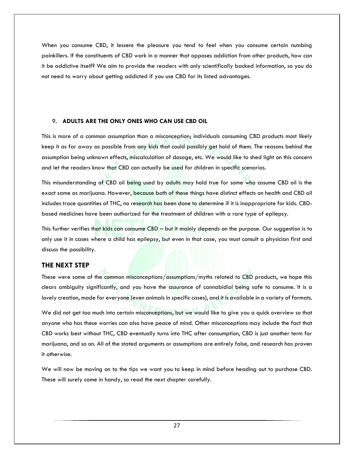When you consume CBD, it lessens the pleasure you tend to feel when you consume certain numbing painkillers. If the constituents of CBD work in a manner that opposes addiction from other products, how can it be addictive itself? We aim to provide the readers with only scientifically backed information, so you do not need to worry about getting addicted if you use CBD for its listed advantages.

#### 9. **ADULTS ARE THE ONLY ONES WHO CAN USE CBD OIL**

This is more of a common assumption than a misconception; individuals consuming CBD products most likely keep it as far away as possible from any kids that could possibly get hold of them. The reasons behind the assumption being unknown effects, miscalculation of dosage, etc. We would like to shed light on this concern and let the readers know that CBD can actually be used for children in specific scenarios.

This misunderstanding of CBD oil being used by adults may hold true for some who assume CBD oil is the exact same as marijuana. However, because both of these things have distinct effects on health and CBD oil includes trace quantities of THC, no research has been done to determine if it is inappropriate for kids. CBDbased medicines have been authorized for the treatment of children with a rare type of epilepsy.

This further verifies that kids can consume CBD – but it mainly depends on the purpose. Our suggestion is to only use it in cases where a child has epilepsy, but even in that case, you must consult a physician first and discuss the possibility.

#### **THE NEXT STEP**

These were some of the common misconceptions/assumptions/myths related to CBD products, we hope this clears ambiguity significantly, and you have the assurance of cannabidiol being safe to consume. It is a lovely creation, made for everyone (even animals in specific cases), and it is available in a variety of formats.

We did not get too much into certain misconceptions, but we would like to give you a quick overview so that anyone who has these worries can also have peace of mind. Other misconceptions may include the fact that CBD works best without THC, CBD eventually turns into THC after consumption, CBD is just another term for marijuana, and so on. All of the stated arguments or assumptions are entirely false, and research has proven it otherwise.

We will now be moving on to the tips we want you to keep in mind before heading out to purchase CBD. These will surely come in handy, so read the next chapter carefully.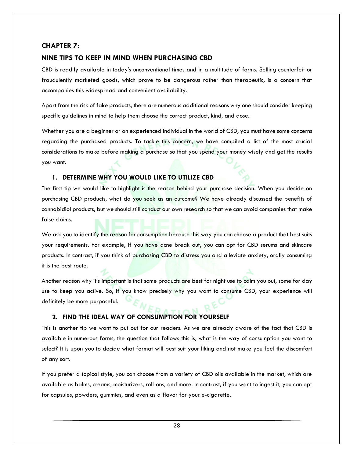#### **CHAPTER 7:**

#### **NINE TIPS TO KEEP IN MIND WHEN PURCHASING CBD**

CBD is readily available in today's unconventional times and in a multitude of forms. Selling counterfeit or fraudulently marketed goods, which prove to be dangerous rather than therapeutic, is a concern that accompanies this widespread and convenient availability.

Apart from the risk of fake products, there are numerous additional reasons why one should consider keeping specific guidelines in mind to help them choose the correct product, kind, and dose.

Whether you are a beginner or an experienced individual in the world of CBD, you must have some concerns regarding the purchased products. To tackle this concern, we have compiled a list of the most crucial considerations to make before making a purchase so that you spend your money wisely and get the results you want.

#### **1. DETERMINE WHY YOU WOULD LIKE TO UTILIZE CBD**

The first tip we would like to highlight is the reason behind your purchase decision. When you decide on purchasing CBD products, what do you seek as an outcome? We have already discussed the benefits of cannabidiol products, but we should still conduct our own research so that we can avoid companies that make false claims.

We ask you to identify the reason for consumption because this way you can choose a product that best suits your requirements. For example, if you have acne break out, you can opt for CBD serums and skincare products. In contrast, if you think of purchasing CBD to distress you and alleviate anxiety, orally consuming it is the best route.

Another reason why it's important is that some products are best for night use to calm you out, some for day use to keep you active. So, if you know precisely why you want to consume CBD, your experience will definitely be more purposeful.

#### **2. FIND THE IDEAL WAY OF CONSUMPTION FOR YOURSELF**

This is another tip we want to put out for our readers. As we are already aware of the fact that CBD is available in numerous forms, the question that follows this is, what is the way of consumption you want to select? It is upon you to decide what format will best suit your liking and not make you feel the discomfort of any sort.

If you prefer a topical style, you can choose from a variety of CBD oils available in the market, which are available as balms, creams, moisturizers, roll-ons, and more. In contrast, if you want to ingest it, you can opt for capsules, powders, gummies, and even as a flavor for your e-cigarette.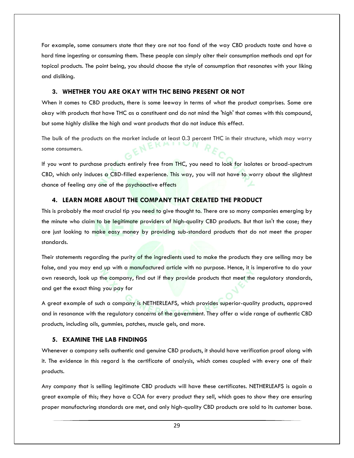For example, some consumers state that they are not too fond of the way CBD products taste and have a hard time ingesting or consuming them. These people can simply alter their consumption methods and opt for topical products. The point being, you should choose the style of consumption that resonates with your liking and disliking.

#### **3. WHETHER YOU ARE OKAY WITH THC BEING PRESENT OR NOT**

When it comes to CBD products, there is some leeway in terms of what the product comprises. Some are okay with products that have THC as a constituent and do not mind the 'high' that comes with this compound, but some highly dislike the high and want products that do not induce this effect.

The bulk of the products on the market include at least 0.3 percent THC in their structure, which may worry some consumers.

If you want to purchase products entirely free from THC, you need to look for isolates or broad-spectrum CBD, which only induces a CBD-filled experience. This way, you will not have to worry about the slightest chance of feeling any one of the psychoactive effects

#### **4. LEARN MORE ABOUT THE COMPANY THAT CREATED THE PRODUCT**

This is probably the most crucial tip you need to give thought to. There are so many companies emerging by the minute who claim to be legitimate providers of high-quality CBD products. But that isn't the case; they are just looking to make easy money by providing sub-standard products that do not meet the proper standards.

Their statements regarding the purity of the ingredients used to make the products they are selling may be false, and you may end up with a manufactured article with no purpose. Hence, it is imperative to do your own research, look up the company, find out if they provide products that meet the regulatory standards, and get the exact thing you pay for

A great example of such a company is NETHERLEAFS, which provides superior-quality products, approved and in resonance with the regulatory concerns of the government. They offer a wide range of authentic CBD products, including oils, gummies, patches, muscle gels, and more.

#### **5. EXAMINE THE LAB FINDINGS**

Whenever a company sells authentic and genuine CBD products, it should have verification proof along with it. The evidence in this regard is the certificate of analysis, which comes coupled with every one of their products.

Any company that is selling legitimate CBD products will have these certificates. NETHERLEAFS is again a great example of this; they have a COA for every product they sell, which goes to show they are ensuring proper manufacturing standards are met, and only high-quality CBD products are sold to its customer base.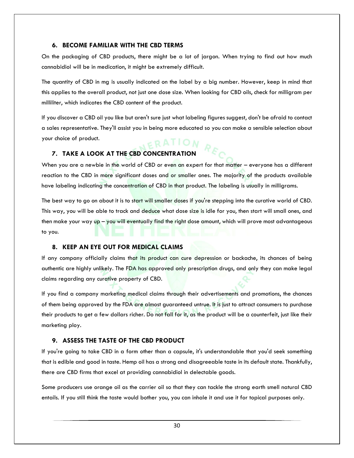#### **6. BECOME FAMILIAR WITH THE CBD TERMS**

On the packaging of CBD products, there might be a lot of jargon. When trying to find out how much cannabidiol will be in medication, it might be extremely difficult.

The quantity of CBD in mg is usually indicated on the label by a big number. However, keep in mind that this applies to the overall product, not just one dose size. When looking for CBD oils, check for milligram per milliliter, which indicates the CBD content of the product.

If you discover a CBD oil you like but aren't sure just what labeling figures suggest, don't be afraid to contact a sales representative. They'll assist you in being more educated so you can make a sensible selection about your choice of product. ERATION

#### **7. TAKE A LOOK AT THE CBD CONCENTRATION**

When you are a newbie in the world of CBD or even an expert for that matter – everyone has a different reaction to the CBD in more significant doses and or smaller ones. The majority of the products available have labeling indicating the concentration of CBD in that product. The labeling is usually in milligrams.

The best way to go on about it is to start will smaller doses if you're stepping into the curative world of CBD. This way, you will be able to track and deduce what dose size is idle for you, then start will small ones, and then make your way up – you will eventually find the right dose amount, which will prove most advantageous to you.

#### **8. KEEP AN EYE OUT FOR MEDICAL CLAIMS**

If any company officially claims that its product can cure depression or backache, its chances of being authentic are highly unlikely. The FDA has approved only prescription drugs, and only they can make legal claims regarding any curative property of CBD.

If you find a company marketing medical claims through their advertisements and promotions, the chances of them being approved by the FDA are almost guaranteed untrue. It is just to attract consumers to purchase their products to get a few dollars richer. Do not fall for it, as the product will be a counterfeit, just like their marketing ploy.

#### **9. ASSESS THE TASTE OF THE CBD PRODUCT**

If you're going to take CBD in a form other than a capsule, it's understandable that you'd seek something that is edible and good in taste. Hemp oil has a strong and disagreeable taste in its default state. Thankfully, there are CBD firms that excel at providing cannabidiol in delectable goods.

Some producers use orange oil as the carrier oil so that they can tackle the strong earth smell natural CBD entails. If you still think the taste would bother you, you can inhale it and use it for topical purposes only.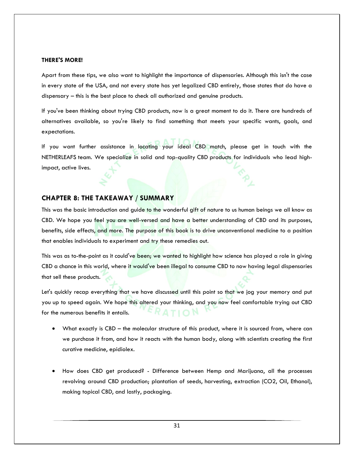#### **THERE'S MORE!**

Apart from these tips, we also want to highlight the importance of dispensaries. Although this isn't the case in every state of the USA, and not every state has yet legalized CBD entirely, those states that do have a dispensary – this is the best place to check all authorized and genuine products.

If you've been thinking about trying CBD products, now is a great moment to do it. There are hundreds of alternatives available, so you're likely to find something that meets your specific wants, goals, and expectations.

If you want further assistance in locating your ideal CBD match, please get in touch with the NETHERLEAFS team. We specialize in solid and top-quality CBD products for individuals who lead highimpact, active lives.

#### **CHAPTER 8: THE TAKEAWAY / SUMMARY**

This was the basic introduction and guide to the wonderful gift of nature to us human beings we all know as CBD. We hope you feel you are well-versed and have a better understanding of CBD and its purposes, benefits, side effects, and more. The purpose of this book is to drive unconventional medicine to a position that enables individuals to experiment and try these remedies out.

This was as to-the-point as it could've been; we wanted to highlight how science has played a role in giving CBD a chance in this world, where it would've been illegal to consume CBD to now having legal dispensaries that sell these products.

Let's quickly recap everything that we have discussed until this point so that we jog your memory and put you up to speed again. We hope this altered your thinking, and you now feel comfortable trying out CBD  $RA$  TION for the numerous benefits it entails.

- What exactly is CBD the molecular structure of this product, where it is sourced from, where can we purchase it from, and how it reacts with the human body, along with scientists creating the first curative medicine, epidiolex.
- How does CBD get produced? Difference between Hemp and Marijuana, all the processes revolving around CBD production; plantation of seeds, harvesting, extraction (CO2, Oil, Ethanol), making topical CBD, and lastly, packaging.